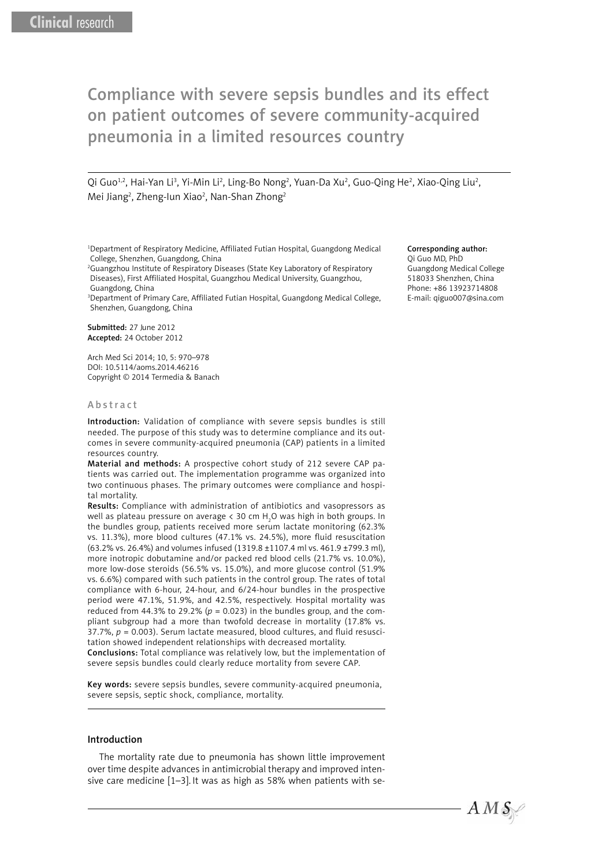# Compliance with severe sepsis bundles and its effect on patient outcomes of severe community-acquired pneumonia in a limited resources country

Qi Guo<sup>1,2</sup>, Hai-Yan Li<sup>3</sup>, Yi-Min Li<sup>2</sup>, Ling-Bo Nong<sup>2</sup>, Yuan-Da Xu<sup>2</sup>, Guo-Qing He<sup>2</sup>, Xiao-Qing Liu<sup>2</sup>, Mei Jiang<sup>2</sup>, Zheng-Iun Xiao<sup>2</sup>, Nan-Shan Zhong<sup>2</sup>

<sup>1</sup>Department of Respiratory Medicine, Affiliated Futian Hospital, Guangdong Medical College, Shenzhen, Guangdong, China

2 Guangzhou Institute of Respiratory Diseases (State Key Laboratory of Respiratory Diseases), First Affiliated Hospital, Guangzhou Medical University, Guangzhou, Guangdong, China

<sup>3</sup>Department of Primary Care, Affiliated Futian Hospital, Guangdong Medical College, Shenzhen, Guangdong, China

Submitted: 27 June 2012 Accepted: 24 October 2012

Arch Med Sci 2014; 10, 5: 970–978 DOI: 10.5114/aoms.2014.46216 Copyright © 2014 Termedia & Banach

#### Abstract

Introduction: Validation of compliance with severe sepsis bundles is still needed. The purpose of this study was to determine compliance and its outcomes in severe community-acquired pneumonia (CAP) patients in a limited resources country.

Material and methods: A prospective cohort study of 212 severe CAP patients was carried out. The implementation programme was organized into two continuous phases. The primary outcomes were compliance and hospital mortality.

Results: Compliance with administration of antibiotics and vasopressors as well as plateau pressure on average < 30 cm  ${\sf H_2O}$  was high in both groups. In the bundles group, patients received more serum lactate monitoring (62.3% vs. 11.3%), more blood cultures (47.1% vs. 24.5%), more fluid resuscitation (63.2% vs. 26.4%) and volumes infused (1319.8 ±1107.4 ml vs. 461.9 ±799.3 ml), more inotropic dobutamine and/or packed red blood cells (21.7% vs. 10.0%), more low-dose steroids (56.5% vs. 15.0%), and more glucose control (51.9% vs. 6.6%) compared with such patients in the control group. The rates of total compliance with 6-hour, 24-hour, and 6/24-hour bundles in the prospective period were 47.1%, 51.9%, and 42.5%, respectively. Hospital mortality was reduced from 44.3% to 29.2% ( $p = 0.023$ ) in the bundles group, and the compliant subgroup had a more than twofold decrease in mortality (17.8% vs.  $37.7\%$ ,  $p = 0.003$ ). Serum lactate measured, blood cultures, and fluid resuscitation showed independent relationships with decreased mortality.

Conclusions: Total compliance was relatively low, but the implementation of severe sepsis bundles could clearly reduce mortality from severe CAP.

Key words: severe sepsis bundles, severe community-acquired pneumonia, severe sepsis, septic shock, compliance, mortality.

#### Introduction

The mortality rate due to pneumonia has shown little improvement over time despite advances in antimicrobial therapy and improved intensive care medicine [1–3]. It was as high as 58% when patients with se-

#### Corresponding author:

Qi Guo MD, PhD Guangdong Medical College 518033 Shenzhen, China Phone: +86 13923714808 E-mail: qiguo007@sina.com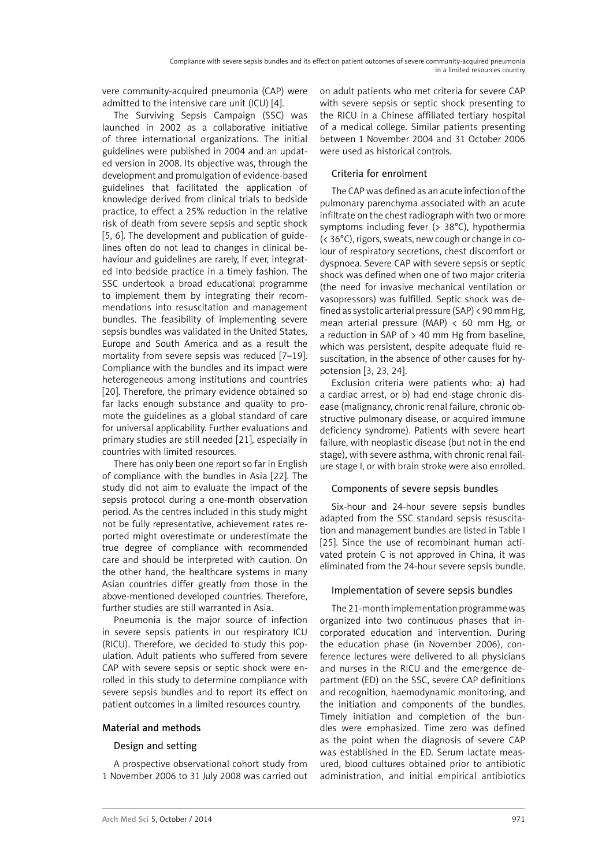vere community-acquired pneumonia (CAP) were admitted to the intensive care unit (ICU) [4].

The Surviving Sepsis Campaign (SSC) was launched in 2002 as a collaborative initiative of three international organizations. The initial guidelines were published in 2004 and an updated version in 2008. Its objective was, through the development and promulgation of evidence-based guidelines that facilitated the application of knowledge derived from clinical trials to bedside practice, to effect a 25% reduction in the relative risk of death from severe sepsis and septic shock [5, 6]. The development and publication of guidelines often do not lead to changes in clinical behaviour and guidelines are rarely, if ever, integrated into bedside practice in a timely fashion. The SSC undertook a broad educational programme to implement them by integrating their recommendations into resuscitation and management bundles. The feasibility of implementing severe sepsis bundles was validated in the United States, Europe and South America and as a result the mortality from severe sepsis was reduced [7–19]. Compliance with the bundles and its impact were heterogeneous among institutions and countries [20]. Therefore, the primary evidence obtained so far lacks enough substance and quality to promote the guidelines as a global standard of care for universal applicability. Further evaluations and primary studies are still needed [21], especially in countries with limited resources.

There has only been one report so far in English of compliance with the bundles in Asia [22]. The study did not aim to evaluate the impact of the sepsis protocol during a one-month observation period. As the centres included in this study might not be fully representative, achievement rates reported might overestimate or underestimate the true degree of compliance with recommended care and should be interpreted with caution. On the other hand, the healthcare systems in many Asian countries differ greatly from those in the above-mentioned developed countries. Therefore, further studies are still warranted in Asia.

Pneumonia is the major source of infection in severe sepsis patients in our respiratory ICU (RICU). Therefore, we decided to study this population. Adult patients who suffered from severe CAP with severe sepsis or septic shock were enrolled in this study to determine compliance with severe sepsis bundles and to report its effect on patient outcomes in a limited resources country.

# Material and methods

# Design and setting

A prospective observational cohort study from 1 November 2006 to 31 July 2008 was carried out on adult patients who met criteria for severe CAP with severe sepsis or septic shock presenting to the RICU in a Chinese affiliated tertiary hospital of a medical college. Similar patients presenting between 1 November 2004 and 31 October 2006 were used as historical controls.

# Criteria for enrolment

The CAP was defined as an acute infection of the pulmonary parenchyma associated with an acute infiltrate on the chest radiograph with two or more symptoms including fever (> 38°C), hypothermia (< 36°C), rigors, sweats, new cough or change in colour of respiratory secretions, chest discomfort or dyspnoea. Severe CAP with severe sepsis or septic shock was defined when one of two major criteria (the need for invasive mechanical ventilation or vasopressors) was fulfilled. Septic shock was defined as systolic arterial pressure (SAP) < 90 mm Hg, mean arterial pressure (MAP) < 60 mm Hg, or a reduction in SAP of  $> 40$  mm Hg from baseline, which was persistent, despite adequate fluid resuscitation, in the absence of other causes for hypotension [3, 23, 24].

Exclusion criteria were patients who: a) had a cardiac arrest, or b) had end-stage chronic disease (malignancy, chronic renal failure, chronic obstructive pulmonary disease, or acquired immune deficiency syndrome). Patients with severe heart failure, with neoplastic disease (but not in the end stage), with severe asthma, with chronic renal failure stage I, or with brain stroke were also enrolled.

# Components of severe sepsis bundles

Six-hour and 24-hour severe sepsis bundles adapted from the SSC standard sepsis resuscitation and management bundles are listed in Table I [25]. Since the use of recombinant human activated protein C is not approved in China, it was eliminated from the 24-hour severe sepsis bundle.

## Implementation of severe sepsis bundles

The 21-month implementation programme was organized into two continuous phases that incorporated education and intervention. During the education phase (in November 2006), conference lectures were delivered to all physicians and nurses in the RICU and the emergence department (ED) on the SSC, severe CAP definitions and recognition, haemodynamic monitoring, and the initiation and components of the bundles. Timely initiation and completion of the bundles were emphasized. Time zero was defined as the point when the diagnosis of severe CAP was established in the ED. Serum lactate measured, blood cultures obtained prior to antibiotic administration, and initial empirical antibiotics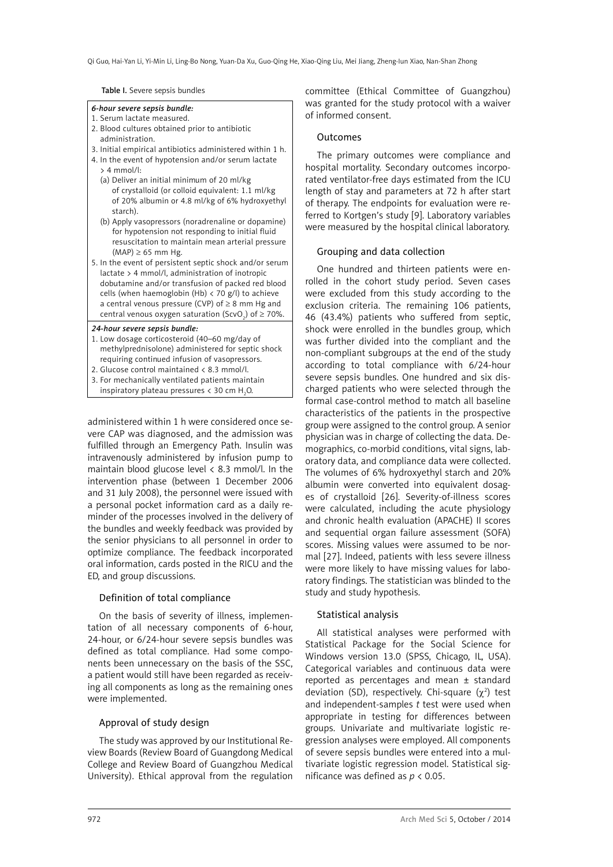Qi Guo, Hai-Yan Li, Yi-Min Li, Ling-Bo Nong, Yuan-Da Xu, Guo-Qing He, Xiao-Qing Liu, Mei Jiang, Zheng-Iun Xiao, Nan-Shan Zhong

Table I. Severe sepsis bundles

| <b>Rable 1.</b> Severe sepsis barrates                                                                                        |  |
|-------------------------------------------------------------------------------------------------------------------------------|--|
| 6-hour severe sepsis bundle:<br>1. Serum lactate measured.                                                                    |  |
| 2. Blood cultures obtained prior to antibiotic                                                                                |  |
| administration.<br>3. Initial empirical antibiotics administered within 1 h.                                                  |  |
| 4. In the event of hypotension and/or serum lactate                                                                           |  |
| $> 4$ mmol/ $\vdash$                                                                                                          |  |
| (a) Deliver an initial minimum of 20 ml/kg<br>of crystalloid (or colloid equivalent: 1.1 ml/kg                                |  |
| of 20% albumin or 4.8 ml/kg of 6% hydroxyethyl<br>starch).                                                                    |  |
| (b) Apply vasopressors (noradrenaline or dopamine)                                                                            |  |
| for hypotension not responding to initial fluid<br>resuscitation to maintain mean arterial pressure                           |  |
| $(MAP) \geq 65$ mm Hg.                                                                                                        |  |
| 5. In the event of persistent septic shock and/or serum<br>lactate > 4 mmol/l, administration of inotropic                    |  |
| dobutamine and/or transfusion of packed red blood                                                                             |  |
| cells (when haemoglobin (Hb) $<$ 70 g/l) to achieve                                                                           |  |
| a central venous pressure (CVP) of $\geq 8$ mm Hg and<br>central venous oxygen saturation (ScvO <sub>2</sub> ) of $\geq$ 70%. |  |
| 24-hour severe sepsis bundle:                                                                                                 |  |
| 1. Low dosage corticosteroid (40–60 mg/day of                                                                                 |  |
| methylprednisolone) administered for septic shock<br>requiring continued infusion of vasopressors.                            |  |
| 2. Glucose control maintained < 8.3 mmol/l.                                                                                   |  |
| 3. For mechanically ventilated patients maintain<br>inspiratory plateau pressures $\lt$ 30 cm H <sub>3</sub> O.               |  |
|                                                                                                                               |  |

administered within 1 h were considered once severe CAP was diagnosed, and the admission was fulfilled through an Emergency Path. Insulin was intravenously administered by infusion pump to maintain blood glucose level < 8.3 mmol/l. In the intervention phase (between 1 December 2006 and 31 July 2008), the personnel were issued with a personal pocket information card as a daily reminder of the processes involved in the delivery of the bundles and weekly feedback was provided by the senior physicians to all personnel in order to optimize compliance. The feedback incorporated oral information, cards posted in the RICU and the ED, and group discussions.

# Definition of total compliance

On the basis of severity of illness, implementation of all necessary components of 6-hour, 24-hour, or 6/24-hour severe sepsis bundles was defined as total compliance. Had some components been unnecessary on the basis of the SSC, a patient would still have been regarded as receiving all components as long as the remaining ones were implemented.

# Approval of study design

The study was approved by our Institutional Review Boards (Review Board of Guangdong Medical College and Review Board of Guangzhou Medical University). Ethical approval from the regulation committee (Ethical Committee of Guangzhou) was granted for the study protocol with a waiver of informed consent.

## Outcomes

The primary outcomes were compliance and hospital mortality. Secondary outcomes incorporated ventilator-free days estimated from the ICU length of stay and parameters at 72 h after start of therapy. The endpoints for evaluation were referred to Kortgen's study [9]. Laboratory variables were measured by the hospital clinical laboratory.

## Grouping and data collection

One hundred and thirteen patients were enrolled in the cohort study period. Seven cases were excluded from this study according to the exclusion criteria. The remaining 106 patients, 46 (43.4%) patients who suffered from septic, shock were enrolled in the bundles group, which was further divided into the compliant and the non-compliant subgroups at the end of the study according to total compliance with 6/24-hour severe sepsis bundles. One hundred and six discharged patients who were selected through the formal case-control method to match all baseline characteristics of the patients in the prospective group were assigned to the control group. A senior physician was in charge of collecting the data. Demographics, co-morbid conditions, vital signs, laboratory data, and compliance data were collected. The volumes of 6% hydroxyethyl starch and 20% albumin were converted into equivalent dosages of crystalloid [26]. Severity-of-illness scores were calculated, including the acute physiology and chronic health evaluation (APACHE) II scores and sequential organ failure assessment (SOFA) scores. Missing values were assumed to be normal [27]. Indeed, patients with less severe illness were more likely to have missing values for laboratory findings. The statistician was blinded to the study and study hypothesis.

# Statistical analysis

All statistical analyses were performed with Statistical Package for the Social Science for Windows version 13.0 (SPSS, Chicago, IL, USA). Categorical variables and continuous data were reported as percentages and mean ± standard deviation (SD), respectively. Chi-square  $(\chi^2)$  test and independent-samples *t* test were used when appropriate in testing for differences between groups. Univariate and multivariate logistic regression analyses were employed. All components of severe sepsis bundles were entered into a multivariate logistic regression model. Statistical significance was defined as *p* < 0.05.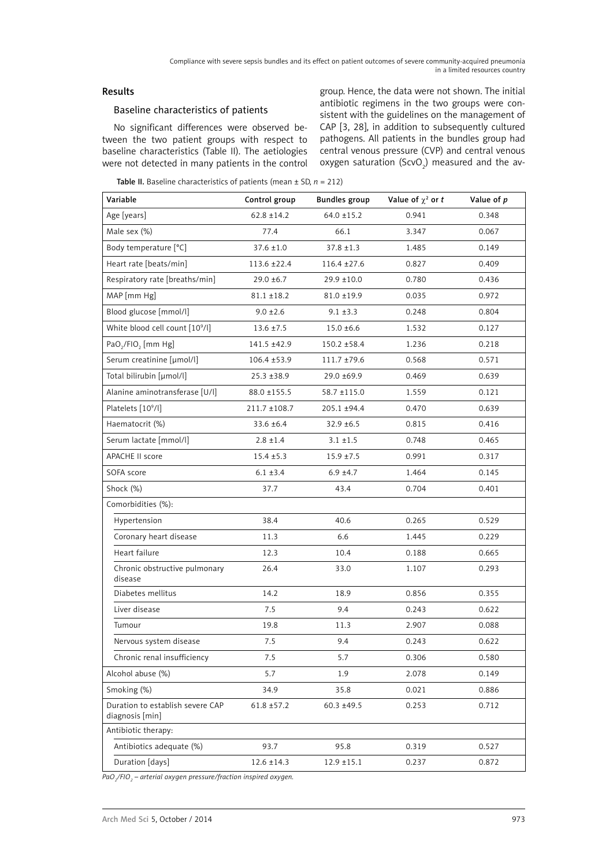# Results

## Baseline characteristics of patients

No significant differences were observed between the two patient groups with respect to baseline characteristics (Table II). The aetiologies were not detected in many patients in the control group. Hence, the data were not shown. The initial antibiotic regimens in the two groups were consistent with the guidelines on the management of CAP [3, 28], in addition to subsequently cultured pathogens. All patients in the bundles group had central venous pressure (CVP) and central venous oxygen saturation (ScvO<sub>2</sub>) measured and the av-

Table II. Baseline characteristics of patients (mean  $\pm$  SD,  $n = 212$ )

| Variable                                            | Control group   | <b>Bundles group</b> | Value of $\chi^2$ or t | Value of p |
|-----------------------------------------------------|-----------------|----------------------|------------------------|------------|
| Age [years]                                         | $62.8 \pm 14.2$ | $64.0 \pm 15.2$      | 0.941                  | 0.348      |
| Male sex (%)                                        | 77.4            | 66.1                 | 3.347                  | 0.067      |
| Body temperature [°C]                               | $37.6 \pm 1.0$  | $37.8 \pm 1.3$       | 1.485                  | 0.149      |
| Heart rate [beats/min]                              | 113.6 ±22.4     | $116.4 \pm 27.6$     | 0.827                  | 0.409      |
| Respiratory rate [breaths/min]                      | $29.0 \pm 6.7$  | $29.9 \pm 10.0$      | 0.780                  | 0.436      |
| MAP [mm Hg]                                         | $81.1 \pm 18.2$ | $81.0 \pm 19.9$      | 0.035                  | 0.972      |
| Blood glucose [mmol/l]                              | $9.0 \pm 2.6$   | $9.1 \pm 3.3$        | 0.248                  | 0.804      |
| White blood cell count [109/l]                      | $13.6 \pm 7.5$  | $15.0 \pm 6.6$       | 1.532                  | 0.127      |
| PaO <sub>2</sub> /FIO <sub>2</sub> [mm Hg]          | 141.5 ±42.9     | $150.2 \pm 58.4$     | 1.236                  | 0.218      |
| Serum creatinine [µmol/l]                           | 106.4 ±53.9     | $111.7 \pm 79.6$     | 0.568                  | 0.571      |
| Total bilirubin [µmol/l]                            | $25.3 \pm 38.9$ | 29.0 ±69.9           | 0.469                  | 0.639      |
| Alanine aminotransferase [U/l]                      | 88.0 ±155.5     | 58.7 ±115.0          | 1.559                  | 0.121      |
| Platelets [10 <sup>9</sup> /l]                      | 211.7 ±108.7    | 205.1 ±94.4          | 0.470                  | 0.639      |
| Haematocrit (%)                                     | 33.6 ±6.4       | $32.9 \pm 6.5$       | 0.815                  | 0.416      |
| Serum lactate [mmol/l]                              | $2.8 \pm 1.4$   | $3.1 \pm 1.5$        | 0.748                  | 0.465      |
| APACHE II score                                     | $15.4 \pm 5.3$  | $15.9 + 7.5$         | 0.991                  | 0.317      |
| SOFA score                                          | $6.1 \pm 3.4$   | $6.9 + 4.7$          | 1.464                  | 0.145      |
| Shock (%)                                           | 37.7            | 43.4                 | 0.704                  | 0.401      |
| Comorbidities (%):                                  |                 |                      |                        |            |
| Hypertension                                        | 38.4            | 40.6                 | 0.265                  | 0.529      |
| Coronary heart disease                              | 11.3            | 6.6                  | 1.445                  | 0.229      |
| Heart failure                                       | 12.3            | 10.4                 | 0.188                  | 0.665      |
| Chronic obstructive pulmonary<br>disease            | 26.4            | 33.0                 | 1.107                  | 0.293      |
| Diabetes mellitus                                   | 14.2            | 18.9                 | 0.856                  | 0.355      |
| Liver disease                                       | 7.5             | 9.4                  | 0.243                  | 0.622      |
| Tumour                                              | 19.8            | 11.3                 | 2.907                  | 0.088      |
| Nervous system disease                              | 7.5             | 9.4                  | 0.243                  | 0.622      |
| Chronic renal insufficiency                         | 7.5             | 5.7                  | 0.306                  | 0.580      |
| Alcohol abuse (%)                                   | 5.7             | 1.9                  | 2.078                  | 0.149      |
| Smoking (%)                                         | 34.9            | 35.8                 | 0.021                  | 0.886      |
| Duration to establish severe CAP<br>diagnosis [min] | $61.8 \pm 57.2$ | $60.3 \pm 49.5$      | 0.253                  | 0.712      |
| Antibiotic therapy:                                 |                 |                      |                        |            |
| Antibiotics adequate (%)                            | 93.7            | 95.8                 | 0.319                  | 0.527      |
| Duration [days]                                     | $12.6 \pm 14.3$ | $12.9 \pm 15.1$      | 0.237                  | 0.872      |

*PaO2 /FIO2 – arterial oxygen pressure/fraction inspired oxygen.*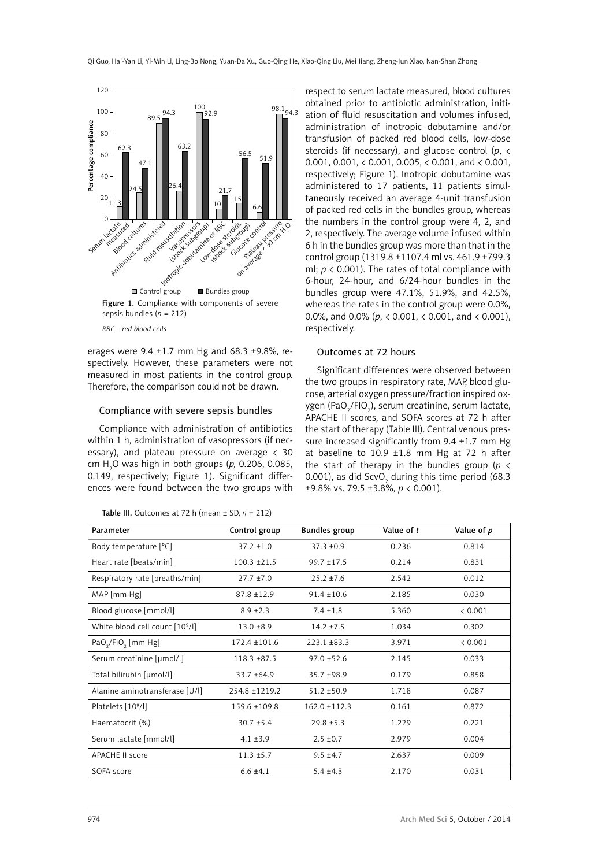

erages were 9.4 ±1.7 mm Hg and 68.3 ±9.8%, respectively. However, these parameters were not measured in most patients in the control group. Therefore, the comparison could not be drawn.

#### Compliance with severe sepsis bundles

Compliance with administration of antibiotics within 1 h, administration of vasopressors (if necessary), and plateau pressure on average < 30 cm H2 O was high in both groups (*p,* 0.206, 0.085, 0.149, respectively; Figure 1). Significant differences were found between the two groups with

Table III. Outcomes at 72 h (mean  $\pm$  SD,  $n = 212$ )

respect to serum lactate measured, blood cultures obtained prior to antibiotic administration, initiation of fluid resuscitation and volumes infused, administration of inotropic dobutamine and/or transfusion of packed red blood cells, low-dose steroids (if necessary), and glucose control (*p*, < 0.001, 0.001,  $\langle$  0.001, 0.005,  $\langle$  0.001, and  $\langle$  0.001, respectively; Figure 1). Inotropic dobutamine was administered to 17 patients, 11 patients simultaneously received an average 4-unit transfusion of packed red cells in the bundles group, whereas the numbers in the control group were 4, 2, and 2, respectively. The average volume infused within 6 h in the bundles group was more than that in the control group (1319.8 ±1107.4 ml vs. 461.9 ±799.3 ml;  $p < 0.001$ ). The rates of total compliance with 6-hour, 24-hour, and 6/24-hour bundles in the bundles group were 47.1%, 51.9%, and 42.5%, whereas the rates in the control group were 0.0%, 0.0%, and 0.0% (*p*, < 0.001, < 0.001, and < 0.001), respectively.

#### Outcomes at 72 hours

Significant differences were observed between the two groups in respiratory rate, MAP, blood glucose, arterial oxygen pressure/fraction inspired oxygen (PaO<sub>2</sub>/FIO<sub>2</sub>), serum creatinine, serum lactate, APACHE II scores, and SOFA scores at 72 h after the start of therapy (Table III). Central venous pressure increased significantly from 9.4 ±1.7 mm Hg at baseline to 10.9  $\pm$ 1.8 mm Hg at 72 h after the start of therapy in the bundles group (*p* < 0.001), as did ScvO<sub>2</sub> during this time period (68.3 ±9.8% vs. 79.5 ±3.8%, *p* < 0.001).

| Parameter                                  | Control group     | <b>Bundles group</b> | Value of t | Value of p |
|--------------------------------------------|-------------------|----------------------|------------|------------|
| Body temperature [°C]                      | $37.2 \pm 1.0$    | $37.3 \pm 0.9$       | 0.236      | 0.814      |
| Heart rate [beats/min]                     | $100.3 + 21.5$    | $99.7 + 17.5$        | 0.214      | 0.831      |
| Respiratory rate [breaths/min]             | $27.7 \pm 7.0$    | $25.2 \pm 7.6$       | 2.542      | 0.012      |
| $MAP$ [mm Hg]                              | $87.8 + 12.9$     | $91.4 \pm 10.6$      | 2.185      | 0.030      |
| Blood glucose [mmol/l]                     | $8.9 \pm 2.3$     | $7.4 \pm 1.8$        | 5.360      | < 0.001    |
| White blood cell count [109/l]             | $13.0 \pm 8.9$    | $14.2 + 7.5$         | 1.034      | 0.302      |
| PaO <sub>2</sub> /FIO <sub>2</sub> [mm Hg] | $172.4 \pm 101.6$ | $223.1 \pm 83.3$     | 3.971      | < 0.001    |
| Serum creatinine [µmol/l]                  | $118.3 + 87.5$    | $97.0 \pm 52.6$      | 2.145      | 0.033      |
| Total bilirubin [µmol/l]                   | $33.7 + 64.9$     | 35.7 ±98.9           | 0.179      | 0.858      |
| Alanine aminotransferase [U/l]             | 254.8 ±1219.2     | $51.2 \pm 50.9$      | 1.718      | 0.087      |
| Platelets [10 <sup>9</sup> /l]             | 159.6 ±109.8      | $162.0 \pm 112.3$    | 0.161      | 0.872      |
| Haematocrit (%)                            | $30.7 \pm 5.4$    | $29.8 \pm 5.3$       | 1.229      | 0.221      |
| Serum lactate [mmol/l]                     | $4.1 \pm 3.9$     | $2.5 \pm 0.7$        | 2.979      | 0.004      |
| APACHE II score                            | $11.3 \pm 5.7$    | $9.5 \pm 4.7$        | 2.637      | 0.009      |
| SOFA score                                 | $6.6 \pm 4.1$     | $5.4 \pm 4.3$        | 2.170      | 0.031      |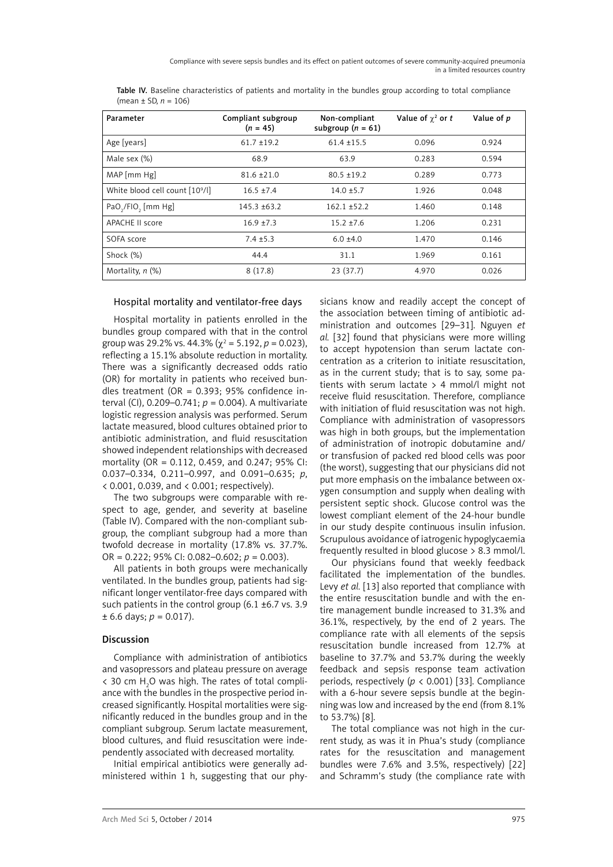| Parameter                                   | Compliant subgroup<br>$(n = 45)$ | Non-compliant<br>subgroup $(n = 61)$ | Value of $\chi^2$ or t | Value of p |
|---------------------------------------------|----------------------------------|--------------------------------------|------------------------|------------|
| Age [years]                                 | $61.7 + 19.2$                    | $61.4 \pm 15.5$                      | 0.096                  | 0.924      |
| Male sex (%)                                | 68.9                             | 63.9                                 | 0.283                  | 0.594      |
| MAP [mm Hg]                                 | $81.6 + 21.0$                    | $80.5 + 19.2$                        | 0.289                  | 0.773      |
| White blood cell count [10 <sup>9</sup> /l] | $16.5 \pm 7.4$                   | $14.0 \pm 5.7$                       | 1.926                  | 0.048      |
| PaO <sub>2</sub> /FIO <sub>2</sub> [mm Hg]  | $145.3 \pm 63.2$                 | $162.1 + 52.2$                       | 1.460                  | 0.148      |
| APACHE II score                             | $16.9 + 7.3$                     | $15.2 \pm 7.6$                       | 1.206                  | 0.231      |
| SOFA score                                  | $7.4 \pm 5.3$                    | $6.0 + 4.0$                          | 1.470                  | 0.146      |
| Shock (%)                                   | 44.4                             | 31.1                                 | 1.969                  | 0.161      |
| Mortality, $n$ (%)                          | 8(17.8)                          | 23(37.7)                             | 4.970                  | 0.026      |

Table IV. Baseline characteristics of patients and mortality in the bundles group according to total compliance (mean ± SD, *n* = 106)

## Hospital mortality and ventilator-free days

Hospital mortality in patients enrolled in the bundles group compared with that in the control group was 29.2% vs. 44.3% ( $\chi^2$  = 5.192, *p* = 0.023), reflecting a 15.1% absolute reduction in mortality. There was a significantly decreased odds ratio (OR) for mortality in patients who received bundles treatment (OR = 0.393; 95% confidence interval (CI), 0.209–0.741; *p* = 0.004). A multivariate logistic regression analysis was performed. Serum lactate measured, blood cultures obtained prior to antibiotic administration, and fluid resuscitation showed independent relationships with decreased mortality (OR = 0.112, 0.459, and 0.247; 95% CI: 0.037–0.334, 0.211–0.997, and 0.091–0.635; *p*, < 0.001, 0.039, and < 0.001; respectively).

The two subgroups were comparable with respect to age, gender, and severity at baseline (Table IV). Compared with the non-compliant subgroup, the compliant subgroup had a more than twofold decrease in mortality (17.8% vs. 37.7%. OR = 0.222; 95% CI: 0.082–0.602; *p* = 0.003).

All patients in both groups were mechanically ventilated. In the bundles group, patients had significant longer ventilator-free days compared with such patients in the control group (6.1 ±6.7 vs. 3.9  $\pm$  6.6 days; *p* = 0.017).

# Discussion

Compliance with administration of antibiotics and vasopressors and plateau pressure on average  $<$  30 cm H<sub>2</sub>O was high. The rates of total compliance with the bundles in the prospective period increased significantly. Hospital mortalities were significantly reduced in the bundles group and in the compliant subgroup. Serum lactate measurement, blood cultures, and fluid resuscitation were independently associated with decreased mortality.

Initial empirical antibiotics were generally administered within 1 h, suggesting that our physicians know and readily accept the concept of the association between timing of antibiotic administration and outcomes [29–31]. Nguyen *et al.* [32] found that physicians were more willing to accept hypotension than serum lactate concentration as a criterion to initiate resuscitation, as in the current study; that is to say, some patients with serum lactate > 4 mmol/l might not receive fluid resuscitation. Therefore, compliance with initiation of fluid resuscitation was not high. Compliance with administration of vasopressors was high in both groups, but the implementation of administration of inotropic dobutamine and/ or transfusion of packed red blood cells was poor (the worst), suggesting that our physicians did not put more emphasis on the imbalance between oxygen consumption and supply when dealing with persistent septic shock. Glucose control was the lowest compliant element of the 24-hour bundle in our study despite continuous insulin infusion. Scrupulous avoidance of iatrogenic hypoglycaemia frequently resulted in blood glucose > 8.3 mmol/l.

Our physicians found that weekly feedback facilitated the implementation of the bundles. Levy *et al.* [13] also reported that compliance with the entire resuscitation bundle and with the entire management bundle increased to 31.3% and 36.1%, respectively, by the end of 2 years. The compliance rate with all elements of the sepsis resuscitation bundle increased from 12.7% at baseline to 37.7% and 53.7% during the weekly feedback and sepsis response team activation periods, respectively (*p* < 0.001) [33]. Compliance with a 6-hour severe sepsis bundle at the beginning was low and increased by the end (from 8.1% to 53.7%) [8].

The total compliance was not high in the current study, as was it in Phua's study (compliance rates for the resuscitation and management bundles were 7.6% and 3.5%, respectively) [22] and Schramm's study (the compliance rate with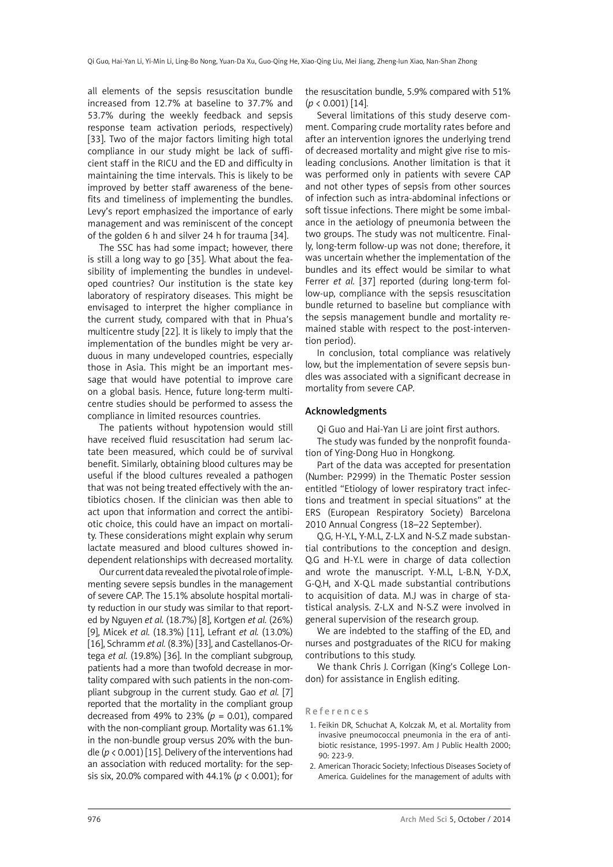all elements of the sepsis resuscitation bundle increased from 12.7% at baseline to 37.7% and 53.7% during the weekly feedback and sepsis response team activation periods, respectively) [33]. Two of the major factors limiting high total compliance in our study might be lack of sufficient staff in the RICU and the ED and difficulty in maintaining the time intervals. This is likely to be improved by better staff awareness of the benefits and timeliness of implementing the bundles. Levy's report emphasized the importance of early management and was reminiscent of the concept of the golden 6 h and silver 24 h for trauma [34].

The SSC has had some impact; however, there is still a long way to go [35]. What about the feasibility of implementing the bundles in undeveloped countries? Our institution is the state key laboratory of respiratory diseases. This might be envisaged to interpret the higher compliance in the current study, compared with that in Phua's multicentre study [22]. It is likely to imply that the implementation of the bundles might be very arduous in many undeveloped countries, especially those in Asia. This might be an important message that would have potential to improve care on a global basis. Hence, future long-term multicentre studies should be performed to assess the compliance in limited resources countries.

The patients without hypotension would still have received fluid resuscitation had serum lactate been measured, which could be of survival benefit. Similarly, obtaining blood cultures may be useful if the blood cultures revealed a pathogen that was not being treated effectively with the antibiotics chosen. If the clinician was then able to act upon that information and correct the antibiotic choice, this could have an impact on mortality. These considerations might explain why serum lactate measured and blood cultures showed independent relationships with decreased mortality.

Our current data revealed the pivotal role of implementing severe sepsis bundles in the management of severe CAP. The 15.1% absolute hospital mortality reduction in our study was similar to that reported by Nguyen *et al.* (18.7%) [8], Kortgen *et al.* (26%) [9], Micek *et al.* (18.3%) [11], Lefrant *et al.* (13.0%) [16], Schramm *et al.* (8.3%) [33], and Castellanos-Ortega *et al.* (19.8%) [36]. In the compliant subgroup, patients had a more than twofold decrease in mortality compared with such patients in the non-compliant subgroup in the current study. Gao *et al.* [7] reported that the mortality in the compliant group decreased from 49% to 23% ( $p = 0.01$ ), compared with the non-compliant group. Mortality was 61.1% in the non-bundle group versus 20% with the bundle (*p* < 0.001) [15]. Delivery of the interventions had an association with reduced mortality: for the sepsis six, 20.0% compared with 44.1% (*p* < 0.001); for the resuscitation bundle, 5.9% compared with 51% (*p* < 0.001) [14].

Several limitations of this study deserve comment. Comparing crude mortality rates before and after an intervention ignores the underlying trend of decreased mortality and might give rise to misleading conclusions. Another limitation is that it was performed only in patients with severe CAP and not other types of sepsis from other sources of infection such as intra-abdominal infections or soft tissue infections. There might be some imbalance in the aetiology of pneumonia between the two groups. The study was not multicentre. Finally, long-term follow-up was not done; therefore, it was uncertain whether the implementation of the bundles and its effect would be similar to what Ferrer et al. [37] reported (during long-term follow-up, compliance with the sepsis resuscitation bundle returned to baseline but compliance with the sepsis management bundle and mortality remained stable with respect to the post-intervention period).

In conclusion, total compliance was relatively low, but the implementation of severe sepsis bundles was associated with a significant decrease in mortality from severe CAP.

### Acknowledgments

Qi Guo and Hai-Yan Li are joint first authors.

The study was funded by the nonprofit foundation of Ying-Dong Huo in Hongkong.

Part of the data was accepted for presentation (Number: P2999) in the Thematic Poster session entitled "Etiology of lower respiratory tract infections and treatment in special situations" at the ERS (European Respiratory Society) Barcelona 2010 Annual Congress (18–22 September).

Q.G, H-Y.L, Y-M.L, Z-L.X and N-S.Z made substantial contributions to the conception and design. Q.G and H-Y.L were in charge of data collection and wrote the manuscript. Y-M.L, L-B.N, Y-D.X, G-Q.H, and X-Q.L made substantial contributions to acquisition of data. M.J was in charge of statistical analysis. Z-L.X and N-S.Z were involved in general supervision of the research group.

We are indebted to the staffing of the ED, and nurses and postgraduates of the RICU for making contributions to this study.

We thank Chris J. Corrigan (King's College London) for assistance in English editing.

#### References

- 1. Feikin DR, Schuchat A, Kolczak M, et al. Mortality from invasive pneumococcal pneumonia in the era of antibiotic resistance, 1995-1997. Am J Public Health 2000; 90: 223-9.
- 2. American Thoracic Society; Infectious Diseases Society of America. Guidelines for the management of adults with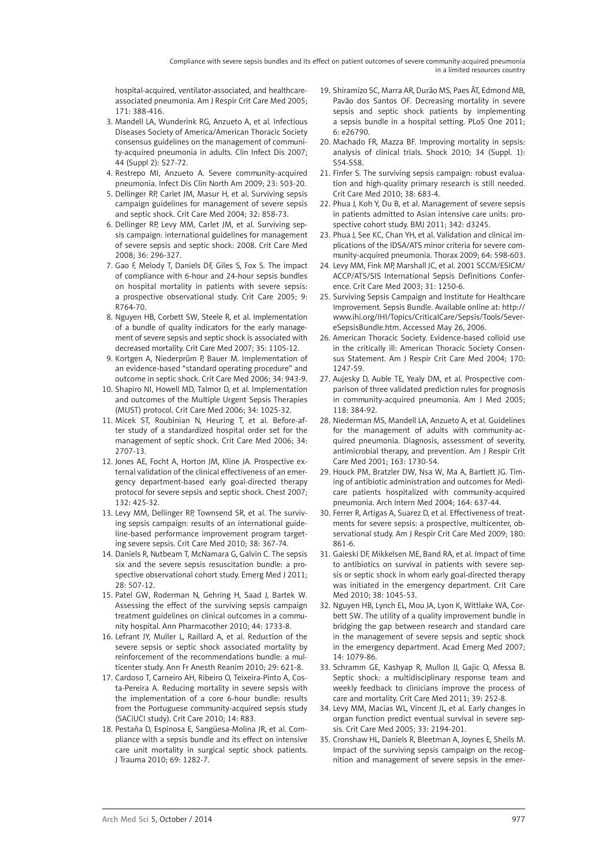Compliance with severe sepsis bundles and its effect on patient outcomes of severe community-acquired pneumonia in a limited resources country

hospital-acquired, ventilator-associated, and healthcareassociated pneumonia. Am J Respir Crit Care Med 2005; 171: 388-416.

- 3. Mandell LA, Wunderink RG, Anzueto A, et al. Infectious Diseases Society of America/American Thoracic Society consensus guidelines on the management of community-acquired pneumonia in adults. Clin Infect Dis 2007; 44 (Suppl 2): S27-72.
- 4. Restrepo MI, Anzueto A. Severe community-acquired pneumonia. Infect Dis Clin North Am 2009; 23: 503-20.
- 5. Dellinger RP, Carlet JM, Masur H, et al. Surviving sepsis campaign guidelines for management of severe sepsis and septic shock. Crit Care Med 2004; 32: 858-73.
- 6. Dellinger RP, Levy MM, Carlet JM, et al. Surviving sepsis campaign: international guidelines for management of severe sepsis and septic shock: 2008. Crit Care Med 2008; 36: 296-327.
- 7. Gao F, Melody T, Daniels DF, Giles S, Fox S. The impact of compliance with 6-hour and 24-hour sepsis bundles on hospital mortality in patients with severe sepsis: a prospective observational study. Crit Care 2005; 9: R764-70.
- 8. Nguyen HB, Corbett SW, Steele R, et al. Implementation of a bundle of quality indicators for the early management of severe sepsis and septic shock is associated with decreased mortality. Crit Care Med 2007; 35: 1105-12.
- 9. Kortgen A, Niederprüm P, Bauer M. Implementation of an evidence-based "standard operating procedure" and outcome in septic shock. Crit Care Med 2006; 34: 943-9.
- 10. Shapiro NI, Howell MD, Talmor D, et al. Implementation and outcomes of the Multiple Urgent Sepsis Therapies (MUST) protocol. Crit Care Med 2006; 34: 1025-32.
- 11. Micek ST, Roubinian N, Heuring T, et al. Before-after study of a standardized hospital order set for the management of septic shock. Crit Care Med 2006; 34: 2707-13.
- 12. Jones AE, Focht A, Horton JM, Kline JA. Prospective external validation of the clinical effectiveness of an emergency department-based early goal-directed therapy protocol for severe sepsis and septic shock. Chest 2007; 132: 425-32.
- 13. Levy MM, Dellinger RP, Townsend SR, et al. The surviving sepsis campaign: results of an international guideline-based performance improvement program targeting severe sepsis. Crit Care Med 2010; 38: 367-74.
- 14. Daniels R, Nutbeam T, McNamara G, Galvin C. The sepsis six and the severe sepsis resuscitation bundle: a prospective observational cohort study. Emerg Med J 2011; 28: 507-12.
- 15. Patel GW, Roderman N, Gehring H, Saad J, Bartek W. Assessing the effect of the surviving sepsis campaign treatment guidelines on clinical outcomes in a community hospital. Ann Pharmacother 2010; 44: 1733-8.
- 16. Lefrant JY, Muller L, Raillard A, et al. Reduction of the severe sepsis or septic shock associated mortality by reinforcement of the recommendations bundle: a multicenter study. Ann Fr Anesth Reanim 2010; 29: 621-8.
- 17. Cardoso T, Carneiro AH, Ribeiro O, Teixeira-Pinto A, Costa-Pereira A. Reducing mortality in severe sepsis with the implementation of a core 6-hour bundle: results from the Portuguese community-acquired sepsis study (SACiUCI study). Crit Care 2010; 14: R83.
- 18. Pestaña D, Espinosa E, Sangüesa-Molina JR, et al. Compliance with a sepsis bundle and its effect on intensive care unit mortality in surgical septic shock patients. J Trauma 2010; 69: 1282-7.
- 19. Shiramizo SC, Marra AR, Durão MS, Paes ÂT, Edmond MB, Pavão dos Santos OF. Decreasing mortality in severe sepsis and septic shock patients by implementing a sepsis bundle in a hospital setting. PLoS One 2011; 6: e26790.
- 20. Machado FR, Mazza BF. Improving mortality in sepsis: analysis of clinical trials. Shock 2010; 34 (Suppl. 1): S54-S58.
- 21. Finfer S. The surviving sepsis campaign: robust evaluation and high-quality primary research is still needed. Crit Care Med 2010; 38: 683-4.
- 22. Phua J, Koh Y, Du B, et al. Management of severe sepsis in patients admitted to Asian intensive care units: prospective cohort study. BMJ 2011; 342: d3245.
- 23. Phua J, See KC, Chan YH, et al. Validation and clinical implications of the IDSA/ATS minor criteria for severe community-acquired pneumonia. Thorax 2009; 64: 598-603.
- 24. Levy MM, Fink MP, Marshall JC, et al. 2001 SCCM/ESICM/ ACCP/ATS/SIS International Sepsis Definitions Conference. Crit Care Med 2003; 31: 1250-6.
- 25. Surviving Sepsis Campaign and Institute for Healthcare Improvement. Sepsis Bundle. Available online at: http:// www.ihi.org/IHI/Topics/CriticalCare/Sepsis/Tools/SevereSepsisBundle.htm. Accessed May 26, 2006.
- 26. American Thoracic Society. Evidence-based colloid use in the critically ill: American Thoracic Society Consensus Statement. Am J Respir Crit Care Med 2004; 170: 1247-59.
- 27. Aujesky D, Auble TE, Yealy DM, et al. Prospective comparison of three validated prediction rules for prognosis in community-acquired pneumonia. Am J Med 2005; 118: 384-92.
- 28. Niederman MS, Mandell LA, Anzueto A, et al. Guidelines for the management of adults with community-acquired pneumonia. Diagnosis, assessment of severity, antimicrobial therapy, and prevention. Am J Respir Crit Care Med 2001; 163: 1730-54.
- 29. Houck PM, Bratzler DW, Nsa W, Ma A, Bartlett JG. Timing of antibiotic administration and outcomes for Medicare patients hospitalized with community-acquired pneumonia. Arch Intern Med 2004; 164: 637-44.
- 30. Ferrer R, Artigas A, Suarez D, et al. Effectiveness of treatments for severe sepsis: a prospective, multicenter, observational study. Am J Respir Crit Care Med 2009; 180: 861-6.
- 31. Gaieski DF, Mikkelsen ME, Band RA, et al. Impact of time to antibiotics on survival in patients with severe sepsis or septic shock in whom early goal-directed therapy was initiated in the emergency department. Crit Care Med 2010; 38: 1045-53.
- 32. Nguyen HB, Lynch EL, Mou JA, Lyon K, Wittlake WA, Corbett SW. The utility of a quality improvement bundle in bridging the gap between research and standard care in the management of severe sepsis and septic shock in the emergency department. Acad Emerg Med 2007; 14: 1079-86.
- 33. Schramm GE, Kashyap R, Mullon JJ, Gajic O, Afessa B. Septic shock: a multidisciplinary response team and weekly feedback to clinicians improve the process of care and mortality. Crit Care Med 2011; 39: 252-8.
- 34. Levy MM, Macias WL, Vincent JL, et al. Early changes in organ function predict eventual survival in severe sepsis. Crit Care Med 2005; 33: 2194-201.
- 35. Cronshaw HL, Daniels R, Bleetman A, Joynes E, Sheils M. Impact of the surviving sepsis campaign on the recognition and management of severe sepsis in the emer-